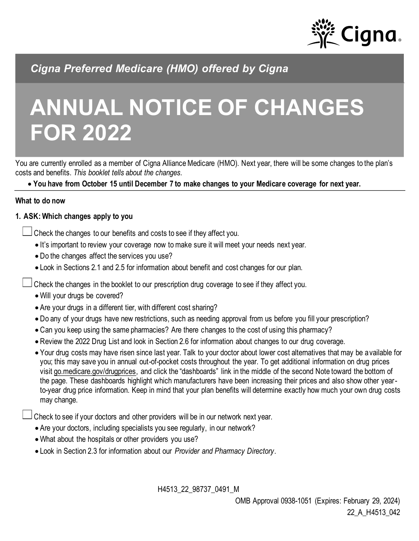

## *Cigna Preferred Medicare (HMO) offered by Cigna*

# **ANNUAL NOTICE OF CHANGES FOR 2022**

You are currently enrolled as a member of Cigna Alliance Medicare (HMO). Next year, there will be some changes to the plan's costs and benefits. *This booklet tells about the changes.*

• **You have from October 15 until December 7 to make changes to your Medicare coverage for next year.**

#### **What to do now**

#### **1. ASK: Which changes apply to you**

Check the changes to our benefits and costs to see if they affect you.

- It's important to review your coverage now to make sure it will meet your needs next year.
- Do the changes affect the services you use?
- Look in Sections 2.1 and 2.5 for information about benefit and cost changes for our plan.

Check the changes in the booklet to our prescription drug coverage to see if they affect you.

- Will your drugs be covered?
- Are your drugs in a different tier, with different cost sharing?
- Do any of your drugs have new restrictions, such as needing approval from us before you fill your prescription?
- Can you keep using the same pharmacies? Are there changes to the cost of using this pharmacy?
- Review the 2022 Drug List and look in Section 2.6 for information about changes to our drug coverage.
- Your drug costs may have risen since last year. Talk to your doctor about lower cost alternatives that may be available for you; this may save you in annual out-of-pocket costs throughout the year. To get additional information on drug prices visit [go.medicare.gov/drugprices,](go.medicare.gov/drugprices) and click the "dashboards" link in the middle of the second Note toward the bottom of the page. These dashboards highlight which manufacturers have been increasing their prices and also show other yearto-year drug price information. Keep in mind that your plan benefits will determine exactly how much your own drug costs may change.

Check to see if your doctors and other providers will be in our network next year.

- Are your doctors, including specialists you see regularly, in our network?
- What about the hospitals or other providers you use?
- Look in Section 2.3 for information about our *Provider and Pharmacy Directory*.

H4513\_22\_98737\_0491\_M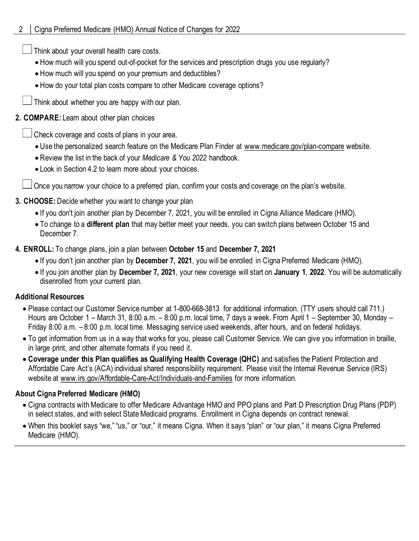Think about your overall health care costs.

- How much will you spend out-of-pocket for the services and prescription drugs you use regularly?
- How much will you spend on your premium and deductibles?
- How do your total plan costs compare to other Medicare coverage options?

Think about whether you are happy with our plan.

## **2. COMPARE:** Learn about other plan choices

Check coverage and costs of plans in your area.

- Use the personalized search feature on the Medicare Plan Finder at www.medicare.gov/plan-compare website.
- Review the list in the back of your *Medicare & You 2022* handbook.
- Look in Section 4.2 to learn more about your choices.

Once you narrow your choice to a preferred plan, confirm your costs and coverage on the plan's website.

## **3. CHOOSE:** Decide whether you want to change your plan

- If you don't join another plan by December 7, 2021, you will be enrolled in Cigna Alliance Medicare (HMO).
- To change to a **different plan** that may better meet your needs, you can switch plans between October 15 and December 7.

## **4. ENROLL:** To change plans, join a plan between **October 15** and **December 7, 2021**

- If you don't join another plan by **December 7, 2021**, you will be enrolled in Cigna Preferred Medicare (HMO).
- If you join another plan by **December 7, 2021**, your new coverage will start on **January 1**, **2022**. You will be automatically disenrolled from your current plan.

## **Additional Resources**

- Please contact our Customer Service number at 1-800-668-3813 for additional information. (TTY users should call 711.) Hours are October 1 – March 31, 8:00 a.m. – 8:00 p.m. local time, 7 days a week. From April 1 – September 30, Monday – Friday 8:00 a.m. – 8:00 p.m. local time. Messaging service used weekends, after hours, and on federal holidays.
- To get information from us in a way that works for you, please call Customer Service. We can give you information in braille, in large print, and other alternate formats if you need it.
- **Coverage under this Plan qualifies as Qualifying Health Coverage (QHC)** and satisfies the Patient Protection and Affordable Care Act's (ACA) individual shared responsibility requirement. Please visit the Internal Revenue Service (IRS) website at www.irs.gov/Affordable-Care-Act/Individuals-and-Families for more information.

## **About Cigna Preferred Medicare (HMO)**

- Cigna contracts with Medicare to offer Medicare Advantage HMO and PPO plans and Part D Prescription Drug Plans (PDP) in select states, and with select State Medicaid programs. Enrollment in Cigna depends on contract renewal.
- When this booklet says "we," "us," or "our," it means Cigna*.* When it says "plan" or "our plan," it means Cigna Preferred Medicare (HMO).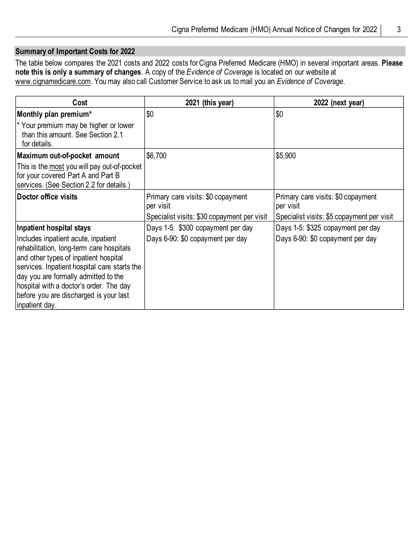#### **Summary of Important Costs for 2022**

The table below compares the 2021 costs and 2022 costs for Cigna Preferred Medicare (HMO) in several important areas. **Please note this is only a summary of changes**. A copy of the *Evidence of Coverage* is located on our website at www.cignamedicare.com. You may also call Customer Service to ask us to mail you an *Evidence of Coverage*.

| Cost                                                                                                                                                                                                                                                                                                                                                | 2021 (this year)                                                      | 2022 (next year)                                                      |
|-----------------------------------------------------------------------------------------------------------------------------------------------------------------------------------------------------------------------------------------------------------------------------------------------------------------------------------------------------|-----------------------------------------------------------------------|-----------------------------------------------------------------------|
| Monthly plan premium*                                                                                                                                                                                                                                                                                                                               | \$0                                                                   | \$0                                                                   |
| * Your premium may be higher or lower<br>than this amount. See Section 2.1<br>for details.                                                                                                                                                                                                                                                          |                                                                       |                                                                       |
| Maximum out-of-pocket amount                                                                                                                                                                                                                                                                                                                        | \$6,700                                                               | \$5,900                                                               |
| This is the most you will pay out-of-pocket<br>for your covered Part A and Part B<br>services. (See Section 2.2 for details.)                                                                                                                                                                                                                       |                                                                       |                                                                       |
| Doctor office visits                                                                                                                                                                                                                                                                                                                                | Primary care visits: \$0 copayment<br>per visit                       | Primary care visits: \$0 copayment<br>per visit                       |
|                                                                                                                                                                                                                                                                                                                                                     | Specialist visits: \$30 copayment per visit                           | Specialist visits: \$5 copayment per visit                            |
| Inpatient hospital stays<br>Includes inpatient acute, inpatient<br>rehabilitation, long-term care hospitals<br>and other types of inpatient hospital<br>services. Inpatient hospital care starts the<br>day you are formally admitted to the<br>hospital with a doctor's order. The day<br>before you are discharged is your last<br>inpatient day. | Days 1-5: \$300 copayment per day<br>Days 6-90: \$0 copayment per day | Days 1-5: \$325 copayment per day<br>Days 6-90: \$0 copayment per day |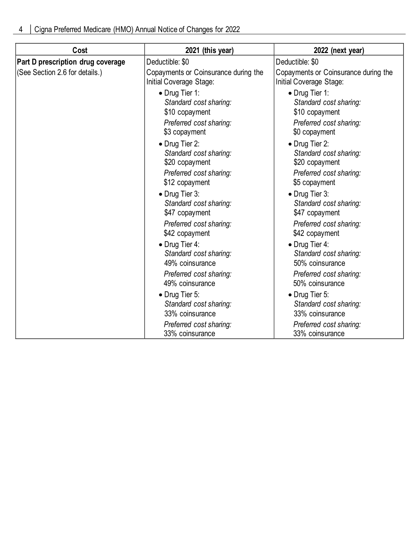| Cost                              | 2021 (this year)                                                                                        | 2022 (next year)                                                                                       |
|-----------------------------------|---------------------------------------------------------------------------------------------------------|--------------------------------------------------------------------------------------------------------|
| Part D prescription drug coverage | Deductible: \$0                                                                                         | Deductible: \$0                                                                                        |
| (See Section 2.6 for details.)    | Copayments or Coinsurance during the<br>Initial Coverage Stage:                                         | Copayments or Coinsurance during the<br>Initial Coverage Stage:                                        |
|                                   | • Drug Tier 1:<br>Standard cost sharing:<br>\$10 copayment<br>Preferred cost sharing:<br>\$3 copayment  | • Drug Tier 1:<br>Standard cost sharing:<br>\$10 copayment<br>Preferred cost sharing:<br>\$0 copayment |
|                                   | • Drug Tier 2:<br>Standard cost sharing:<br>\$20 copayment<br>Preferred cost sharing:<br>\$12 copayment | • Drug Tier 2:<br>Standard cost sharing:<br>\$20 copayment<br>Preferred cost sharing:<br>\$5 copayment |
|                                   | $\bullet$ Drug Tier 3:<br>Standard cost sharing:<br>\$47 copayment                                      | $\bullet$ Drug Tier 3:<br>Standard cost sharing:<br>\$47 copayment                                     |
|                                   | Preferred cost sharing:<br>\$42 copayment                                                               | Preferred cost sharing:<br>\$42 copayment                                                              |
|                                   | • Drug Tier 4:<br>Standard cost sharing:<br>49% coinsurance                                             | • Drug Tier 4:<br>Standard cost sharing:<br>50% coinsurance                                            |
|                                   | Preferred cost sharing:<br>49% coinsurance                                                              | Preferred cost sharing:<br>50% coinsurance                                                             |
|                                   | $\bullet$ Drug Tier 5:<br>Standard cost sharing:<br>33% coinsurance                                     | • Drug Tier 5:<br>Standard cost sharing:<br>33% coinsurance                                            |
|                                   | Preferred cost sharing:<br>33% coinsurance                                                              | Preferred cost sharing:<br>33% coinsurance                                                             |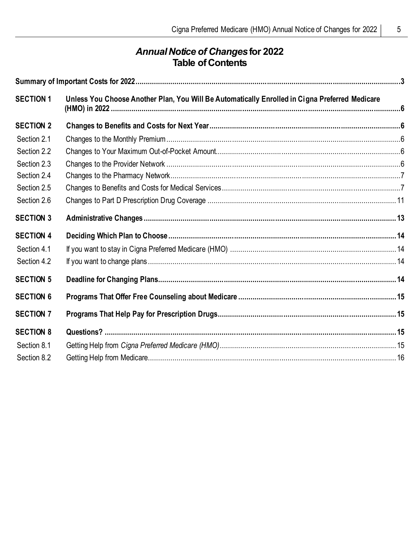## *Annual Notice of Changes***for 2022 Table of Contents**

| <b>SECTION 1</b> | Unless You Choose Another Plan, You Will Be Automatically Enrolled in Cigna Preferred Medicare |  |
|------------------|------------------------------------------------------------------------------------------------|--|
| <b>SECTION 2</b> |                                                                                                |  |
| Section 2.1      |                                                                                                |  |
| Section 2.2      |                                                                                                |  |
| Section 2.3      |                                                                                                |  |
| Section 2.4      |                                                                                                |  |
| Section 2.5      |                                                                                                |  |
| Section 2.6      |                                                                                                |  |
| <b>SECTION 3</b> |                                                                                                |  |
| <b>SECTION 4</b> |                                                                                                |  |
| Section 4.1      |                                                                                                |  |
| Section 4.2      |                                                                                                |  |
| <b>SECTION 5</b> |                                                                                                |  |
| <b>SECTION 6</b> |                                                                                                |  |
| <b>SECTION 7</b> |                                                                                                |  |
| <b>SECTION 8</b> |                                                                                                |  |
| Section 8.1      |                                                                                                |  |
| Section 8.2      |                                                                                                |  |
|                  |                                                                                                |  |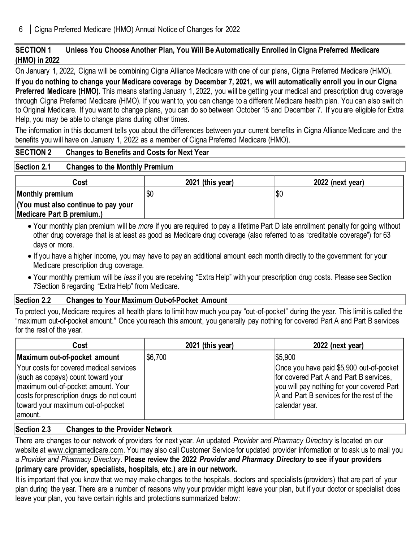#### **SECTION 1 Unless You Choose Another Plan, You Will Be Automatically Enrolled in Cigna Preferred Medicare (HMO) in 2022**

On January 1, 2022, Cigna will be combining Cigna Alliance Medicare with one of our plans, Cigna Preferred Medicare (HMO). **If you do nothing to change your Medicare coverage by December 7, 2021, we will automatically enroll you in our Cigna Preferred Medicare (HMO).** This means starting January 1, 2022, you will be getting your medical and prescription drug coverage through Cigna Preferred Medicare (HMO). If you want to, you can change to a different Medicare health plan. You can also swit ch to Original Medicare. If you want to change plans, you can do so between October 15 and December 7. If you are eligible for Extra Help, you may be able to change plans during other times.

The information in this document tells you about the differences between your current benefits in Cigna Alliance Medicare and the benefits you will have on January 1, 2022 as a member of Cigna Preferred Medicare (HMO)*.*

#### **SECTION 2 Changes to Benefits and Costs for Next Year**

#### **Section 2.1 Changes to the Monthly Premium**

| Cost                                | 2021 (this year) | 2022 (next year) |
|-------------------------------------|------------------|------------------|
| Monthly premium                     | \$0              | '\$0             |
| (You must also continue to pay your |                  |                  |
| Medicare Part B premium.)           |                  |                  |

- Your monthly plan premium will be *more* if you are required to pay a lifetime Part D late enrollment penalty for going without other drug coverage that is at least as good as Medicare drug coverage (also referred to as "creditable coverage") for 63 days or more.
- If you have a higher income, you may have to pay an additional amount each month directly to the government for your Medicare prescription drug coverage.
- Your monthly premium will be *less* if you are receiving "Extra Help" with your prescription drug costs. Please see Section 7Section 6 regarding "Extra Help" from Medicare.

#### **Section 2.2 Changes to Your Maximum Out-of-Pocket Amount**

To protect you, Medicare requires all health plans to limit how much you pay "out-of-pocket" during the year. This limit is called the "maximum out-of-pocket amount." Once you reach this amount, you generally pay nothing for covered Part A and Part B services for the rest of the year.

| Cost                                                                                                                                                                                                             | 2021 (this year) | 2022 (next year)                                                                                                                                                                                 |
|------------------------------------------------------------------------------------------------------------------------------------------------------------------------------------------------------------------|------------------|--------------------------------------------------------------------------------------------------------------------------------------------------------------------------------------------------|
| Maximum out-of-pocket amount                                                                                                                                                                                     | \$6,700          | \$5,900                                                                                                                                                                                          |
| Your costs for covered medical services<br>(such as copays) count toward your<br>maximum out-of-pocket amount. Your<br>costs for prescription drugs do not count<br>toward your maximum out-of-pocket<br>amount. |                  | Once you have paid \$5,900 out-of-pocket<br>for covered Part A and Part B services,<br>you will pay nothing for your covered Part<br>A and Part B services for the rest of the<br>calendar year. |

#### **Section 2.3 Changes to the Provider Network**

There are changes to our network of providers for next year. An updated *Provider and Pharmacy Directory* is located on our website at www.cignamedicare.com. You may also call Customer Service for updated provider information or to ask us to mail you a *Provider and Pharmacy Directory*. **Please review the 2022** *Provider and Pharmacy Directory* **to see if your providers (primary care provider, specialists, hospitals, etc.) are in our network.**

It is important that you know that we may make changes to the hospitals, doctors and specialists (providers) that are part of your plan during the year. There are a number of reasons why your provider might leave your plan, but if your doctor or specialist does leave your plan, you have certain rights and protections summarized below: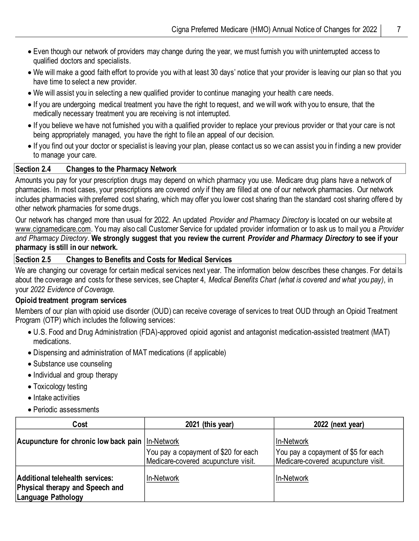- Even though our network of providers may change during the year, we must furnish you with uninterrupted access to qualified doctors and specialists.
- We will make a good faith effort to provide you with at least 30 days' notice that your provider is leaving our plan so that you have time to select a new provider.
- We will assist you in selecting a new qualified provider to continue managing your health c are needs.
- If you are undergoing medical treatment you have the right to request, and we will work with you to ensure, that the medically necessary treatment you are receiving is not interrupted.
- If you believe we have not furnished you with a qualified provider to replace your previous provider or that your care is not being appropriately managed, you have the right to file an appeal of our decision.
- If you find out your doctor or specialist is leaving your plan, please contact us so we can assist you in f inding a new provider to manage your care.

#### **Section 2.4 Changes to the Pharmacy Network**

Amounts you pay for your prescription drugs may depend on which pharmacy you use. Medicare drug plans have a network of pharmacies. In most cases, your prescriptions are covered *only* if they are filled at one of our network pharmacies. Our network includes pharmacies with preferred cost sharing, which may offer you lower cost sharing than the standard cost sharing offered by other network pharmacies for some drugs.

Our network has changed more than usual for 2022. An updated *Provider and Pharmacy Directory* is located on our website at www.cignamedicare.com. You may also call Customer Service for updated provider information or to ask us to mail you a *Provider and Pharmacy Directory*. **We strongly suggest that you review the current** *Provider and Pharmacy Directory* **to see if your pharmacy is still in our network.**

#### **Section 2.5 Changes to Benefits and Costs for Medical Services**

We are changing our coverage for certain medical services next year. The information below describes these changes. For detai ls about the coverage and costs for these services, see Chapter 4, *Medical Benefits Chart (what is covered and what you pay)*, in your *2022 Evidence of Coverage.*

#### **Opioid treatment program services**

Members of our plan with opioid use disorder (OUD) can receive coverage of services to treat OUD through an Opioid Treatment Program (OTP) which includes the following services:

- U.S. Food and Drug Administration (FDA)-approved opioid agonist and antagonist medication-assisted treatment (MAT) medications.
- Dispensing and administration of MAT medications (if applicable)
- Substance use counseling
- Individual and group therapy
- Toxicology testing
- Intake activities
- Periodic assessments

| Cost                                                                                     | 2021 (this year)                     | 2022 (next year)                                  |
|------------------------------------------------------------------------------------------|--------------------------------------|---------------------------------------------------|
| Acupuncture for chronic low back pain   In-Network                                       | You pay a copayment of \$20 for each | In-Network<br>You pay a copayment of \$5 for each |
|                                                                                          | Medicare-covered acupuncture visit.  | Medicare-covered acupuncture visit.               |
| Additional telehealth services:<br>Physical therapy and Speech and<br>Language Pathology | In-Network                           | In-Network                                        |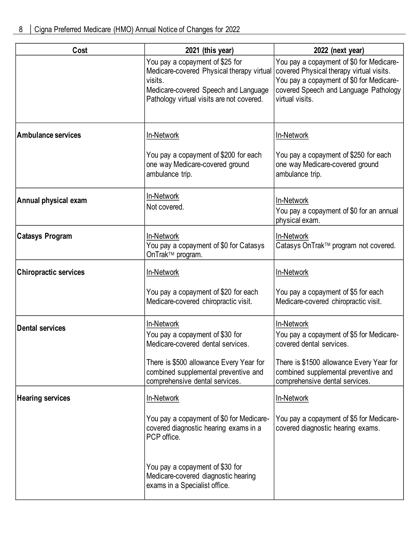| Cost                         | 2021 (this year)                                                                                                                                                                                        | 2022 (next year)                                                                                                                                                                                         |
|------------------------------|---------------------------------------------------------------------------------------------------------------------------------------------------------------------------------------------------------|----------------------------------------------------------------------------------------------------------------------------------------------------------------------------------------------------------|
|                              | You pay a copayment of \$25 for<br>Medicare-covered Physical therapy virtual  <br>visits.<br>Medicare-covered Speech and Language<br>Pathology virtual visits are not covered.                          | You pay a copayment of \$0 for Medicare-<br>covered Physical therapy virtual visits.<br>You pay a copayment of \$0 for Medicare-<br>covered Speech and Language Pathology<br>virtual visits.             |
| Ambulance services           | In-Network                                                                                                                                                                                              | In-Network                                                                                                                                                                                               |
|                              | You pay a copayment of \$200 for each<br>one way Medicare-covered ground<br>ambulance trip.                                                                                                             | You pay a copayment of \$250 for each<br>one way Medicare-covered ground<br>ambulance trip.                                                                                                              |
| Annual physical exam         | In-Network<br>Not covered.                                                                                                                                                                              | In-Network<br>You pay a copayment of \$0 for an annual<br>physical exam.                                                                                                                                 |
| <b>Catasys Program</b>       | In-Network<br>You pay a copayment of \$0 for Catasys<br>OnTrak <sup>™</sup> program.                                                                                                                    | In-Network<br>Catasys OnTrak™ program not covered.                                                                                                                                                       |
| <b>Chiropractic services</b> | In-Network                                                                                                                                                                                              | In-Network                                                                                                                                                                                               |
|                              | You pay a copayment of \$20 for each<br>Medicare-covered chiropractic visit.                                                                                                                            | You pay a copayment of \$5 for each<br>Medicare-covered chiropractic visit.                                                                                                                              |
| <b>Dental services</b>       | In-Network<br>You pay a copayment of \$30 for<br>Medicare-covered dental services.<br>There is \$500 allowance Every Year for<br>combined supplemental preventive and<br>comprehensive dental services. | In-Network<br>You pay a copayment of \$5 for Medicare-<br>covered dental services.<br>There is \$1500 allowance Every Year for<br>combined supplemental preventive and<br>comprehensive dental services. |
| <b>Hearing services</b>      | In-Network                                                                                                                                                                                              | In-Network                                                                                                                                                                                               |
|                              | You pay a copayment of \$0 for Medicare-<br>covered diagnostic hearing exams in a<br>PCP office.                                                                                                        | You pay a copayment of \$5 for Medicare-<br>covered diagnostic hearing exams.                                                                                                                            |
|                              | You pay a copayment of \$30 for<br>Medicare-covered diagnostic hearing<br>exams in a Specialist office.                                                                                                 |                                                                                                                                                                                                          |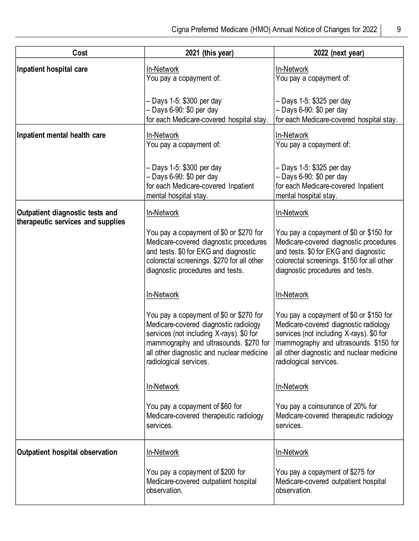| Cost                                                                 | 2021 (this year)                                                                                                                                                                                                                              | 2022 (next year)                                                                                                                                                                                                                              |
|----------------------------------------------------------------------|-----------------------------------------------------------------------------------------------------------------------------------------------------------------------------------------------------------------------------------------------|-----------------------------------------------------------------------------------------------------------------------------------------------------------------------------------------------------------------------------------------------|
| Inpatient hospital care                                              | In-Network<br>You pay a copayment of:                                                                                                                                                                                                         | In-Network<br>You pay a copayment of:                                                                                                                                                                                                         |
|                                                                      | - Days 1-5: \$300 per day<br>$-$ Days 6-90: \$0 per day<br>for each Medicare-covered hospital stay.                                                                                                                                           | - Days 1-5: \$325 per day<br>- Days 6-90: \$0 per day<br>for each Medicare-covered hospital stay.                                                                                                                                             |
| Inpatient mental health care                                         | In-Network<br>You pay a copayment of:                                                                                                                                                                                                         | In-Network<br>You pay a copayment of:                                                                                                                                                                                                         |
|                                                                      | $-$ Days 1-5: \$300 per day<br>$-$ Days 6-90: \$0 per day<br>for each Medicare-covered Inpatient<br>mental hospital stay.                                                                                                                     | - Days 1-5: \$325 per day<br>- Days 6-90: \$0 per day<br>for each Medicare-covered Inpatient<br>mental hospital stay.                                                                                                                         |
| Outpatient diagnostic tests and<br>therapeutic services and supplies | In-Network                                                                                                                                                                                                                                    | In-Network                                                                                                                                                                                                                                    |
|                                                                      | You pay a copayment of \$0 or \$270 for<br>Medicare-covered diagnostic procedures<br>and tests. \$0 for EKG and diagnostic<br>colorectal screenings. \$270 for all other<br>diagnostic procedures and tests.                                  | You pay a copayment of \$0 or \$150 for<br>Medicare-covered diagnostic procedures<br>and tests. \$0 for EKG and diagnostic<br>colorectal screenings. \$150 for all other<br>diagnostic procedures and tests.                                  |
|                                                                      | In-Network                                                                                                                                                                                                                                    | In-Network                                                                                                                                                                                                                                    |
|                                                                      | You pay a copayment of \$0 or \$270 for<br>Medicare-covered diagnostic radiology<br>services (not including X-rays). \$0 for<br>mammography and ultrasounds. \$270 for<br>all other diagnostic and nuclear medicine<br>radiological services. | You pay a copayment of \$0 or \$150 for<br>Medicare-covered diagnostic radiology<br>services (not including X-rays). \$0 for<br>mammography and ultrasounds. \$150 for<br>all other diagnostic and nuclear medicine<br>radiological services. |
|                                                                      | In-Network                                                                                                                                                                                                                                    | In-Network                                                                                                                                                                                                                                    |
|                                                                      | You pay a copayment of \$60 for<br>Medicare-covered therapeutic radiology<br>services.                                                                                                                                                        | You pay a coinsurance of 20% for<br>Medicare-covered therapeutic radiology<br>services.                                                                                                                                                       |
| <b>Outpatient hospital observation</b>                               | In-Network                                                                                                                                                                                                                                    | In-Network                                                                                                                                                                                                                                    |
|                                                                      | You pay a copayment of \$200 for<br>Medicare-covered outpatient hospital<br>observation.                                                                                                                                                      | You pay a copayment of \$275 for<br>Medicare-covered outpatient hospital<br>observation.                                                                                                                                                      |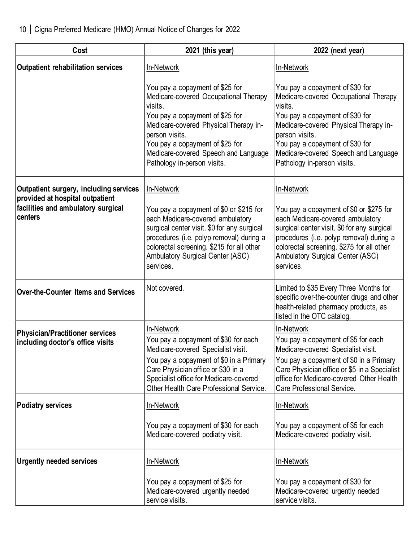| Cost                                                                       | 2021 (this year)                                                                                                                                                                                                                                                                            | 2022 (next year)                                                                                                                                                                                                                                                                            |
|----------------------------------------------------------------------------|---------------------------------------------------------------------------------------------------------------------------------------------------------------------------------------------------------------------------------------------------------------------------------------------|---------------------------------------------------------------------------------------------------------------------------------------------------------------------------------------------------------------------------------------------------------------------------------------------|
| <b>Outpatient rehabilitation services</b>                                  | In-Network                                                                                                                                                                                                                                                                                  | In-Network                                                                                                                                                                                                                                                                                  |
|                                                                            | You pay a copayment of \$25 for<br>Medicare-covered Occupational Therapy<br>visits.<br>You pay a copayment of \$25 for<br>Medicare-covered Physical Therapy in-<br>person visits.<br>You pay a copayment of \$25 for<br>Medicare-covered Speech and Language<br>Pathology in-person visits. | You pay a copayment of \$30 for<br>Medicare-covered Occupational Therapy<br>visits.<br>You pay a copayment of \$30 for<br>Medicare-covered Physical Therapy in-<br>person visits.<br>You pay a copayment of \$30 for<br>Medicare-covered Speech and Language<br>Pathology in-person visits. |
| Outpatient surgery, including services<br>provided at hospital outpatient  | In-Network                                                                                                                                                                                                                                                                                  | In-Network                                                                                                                                                                                                                                                                                  |
| facilities and ambulatory surgical<br>centers                              | You pay a copayment of \$0 or \$215 for<br>each Medicare-covered ambulatory<br>surgical center visit. \$0 for any surgical<br>procedures (i.e. polyp removal) during a<br>colorectal screening. \$215 for all other<br><b>Ambulatory Surgical Center (ASC)</b><br>services.                 | You pay a copayment of \$0 or \$275 for<br>each Medicare-covered ambulatory<br>surgical center visit. \$0 for any surgical<br>procedures (i.e. polyp removal) during a<br>colorectal screening. \$275 for all other<br>Ambulatory Surgical Center (ASC)<br>services.                        |
| <b>Over-the-Counter Items and Services</b>                                 | Not covered.                                                                                                                                                                                                                                                                                | Limited to \$35 Every Three Months for<br>specific over-the-counter drugs and other<br>health-related pharmacy products, as<br>listed in the OTC catalog.                                                                                                                                   |
| <b>Physician/Practitioner services</b><br>including doctor's office visits | In-Network<br>You pay a copayment of \$30 for each<br>Medicare-covered Specialist visit.<br>You pay a copayment of \$0 in a Primary<br>Care Physician office or \$30 in a<br>Specialist office for Medicare-covered<br>Other Health Care Professional Service.                              | In-Network<br>You pay a copayment of \$5 for each<br>Medicare-covered Specialist visit.<br>You pay a copayment of \$0 in a Primary<br>Care Physician office or \$5 in a Specialist<br>office for Medicare-covered Other Health<br>Care Professional Service.                                |
| <b>Podiatry services</b>                                                   | In-Network                                                                                                                                                                                                                                                                                  | In-Network                                                                                                                                                                                                                                                                                  |
|                                                                            | You pay a copayment of \$30 for each<br>Medicare-covered podiatry visit.                                                                                                                                                                                                                    | You pay a copayment of \$5 for each<br>Medicare-covered podiatry visit.                                                                                                                                                                                                                     |
| <b>Urgently needed services</b>                                            | In-Network                                                                                                                                                                                                                                                                                  | In-Network                                                                                                                                                                                                                                                                                  |
|                                                                            | You pay a copayment of \$25 for<br>Medicare-covered urgently needed<br>service visits.                                                                                                                                                                                                      | You pay a copayment of \$30 for<br>Medicare-covered urgently needed<br>service visits.                                                                                                                                                                                                      |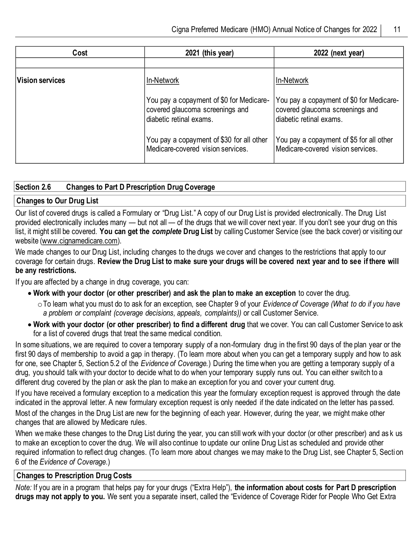| Cost                   | 2021 (this year)                                                                                       | 2022 (next year)                                                                                       |
|------------------------|--------------------------------------------------------------------------------------------------------|--------------------------------------------------------------------------------------------------------|
|                        |                                                                                                        |                                                                                                        |
| <b>Vision services</b> | In-Network                                                                                             | In-Network                                                                                             |
|                        | You pay a copayment of \$0 for Medicare-<br>covered glaucoma screenings and<br>diabetic retinal exams. | You pay a copayment of \$0 for Medicare-<br>covered glaucoma screenings and<br>diabetic retinal exams. |
|                        | You pay a copayment of \$30 for all other<br>Medicare-covered vision services.                         | You pay a copayment of \$5 for all other<br>Medicare-covered vision services.                          |

#### **Section 2.6 Changes to Part D Prescription Drug Coverage**

#### **Changes to Our Drug List**

Our list of covered drugs is called a Formulary or "Drug List." A copy of our Drug List is provided electronically. The Drug List provided electronically includes many — but not all — of the drugs that we will cover next year. If you don't see your drug on this list, it might still be covered. **You can get the** *complete* **Drug List** by calling Customer Service (see the back cover) or visiting our website (www.cignamedicare.com).

We made changes to our Drug List, including changes to the drugs we cover and changes to the restrictions that apply to our coverage for certain drugs. **Review the Drug List to make sure your drugs will be covered next year and to see if there will be any restrictions.**

If you are affected by a change in drug coverage, you can:

- **Work with your doctor (or other prescriber) and ask the plan to make an exception** to cover the drug.
	- oTo learn what you must do to ask for an exception, see Chapter 9 of your *Evidence of Coverage (What to do if you have a problem or complaint (coverage decisions, appeals, complaints))* or call Customer Service.
- **Work with your doctor (or other prescriber) to find a different drug** that we cover. You can call Customer Service to ask for a list of covered drugs that treat the same medical condition.

In some situations, we are required to cover a temporary supply of a non-formulary drug in the first 90 days of the plan year or the first 90 days of membership to avoid a gap in therapy. (To learn more about when you can get a temporary supply and how to ask for one, see Chapter 5, Section 5.2 of the *Evidence of Coverage.*) During the time when you are getting a temporary supply of a drug, you should talk with your doctor to decide what to do when your temporary supply runs out. You can either switch to a different drug covered by the plan or ask the plan to make an exception for you and cover your current drug.

If you have received a formulary exception to a medication this year the formulary exception request is approved through the date indicated in the approval letter. A new formulary exception request is only needed if the date indicated on the letter has passed. Most of the changes in the Drug List are new for the beginning of each year. However, during the year, we might make other changes that are allowed by Medicare rules.

When we make these changes to the Drug List during the year, you can still work with your doctor (or other prescriber) and as k us to make an exception to cover the drug. We will also continue to update our online Drug List as scheduled and provide other required information to reflect drug changes. (To learn more about changes we may make to the Drug List, see Chapter 5, Secti on 6 of the *Evidence of Coverage*.)

#### **Changes to Prescription Drug Costs**

*Note:* If you are in a program that helps pay for your drugs ("Extra Help"), **the information about costs for Part D prescription drugs may not apply to you.** We sent you a separate insert, called the "Evidence of Coverage Rider for People Who Get Extra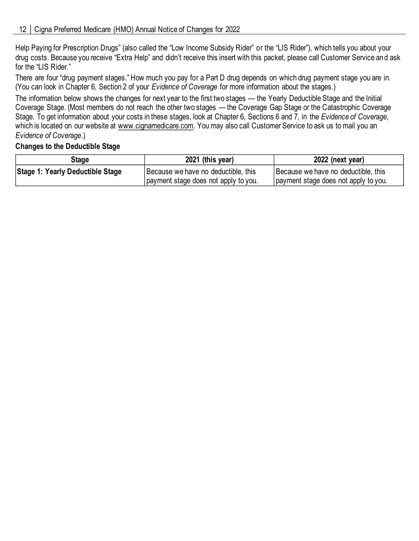Help Paying for Prescription Drugs" (also called the "Low Income Subsidy Rider" or the "LIS Rider"), which tells you about your drug costs. Because you receive "Extra Help" and didn't receive this insert with this packet, please call Customer Service and ask for the "LIS Rider."

There are four "drug payment stages." How much you pay for a Part D drug depends on which drug payment stage you are in. (You can look in Chapter 6, Section 2 of your *Evidence of Coverage* for more information about the stages.)

The information below shows the changes for next year to the first two stages — the Yearly Deductible Stage and the Initial Coverage Stage. (Most members do not reach the other two stages — the Coverage Gap Stage or the Catastrophic Coverage Stage. To get information about your costs in these stages, look at Chapter 6, Sections 6 and 7, in the *Evidence of Coverage*, which is located on our website at www.cignamedicare.com. You may also call Customer Service to ask us to mail you an *Evidence of Coverage*.)

#### **Changes to the Deductible Stage**

| Stage                            | 2021 (this year)                     | 2022 (next year)                     |
|----------------------------------|--------------------------------------|--------------------------------------|
| Stage 1: Yearly Deductible Stage | Because we have no deductible, this  | Because we have no deductible, this  |
|                                  | payment stage does not apply to you. | payment stage does not apply to you. |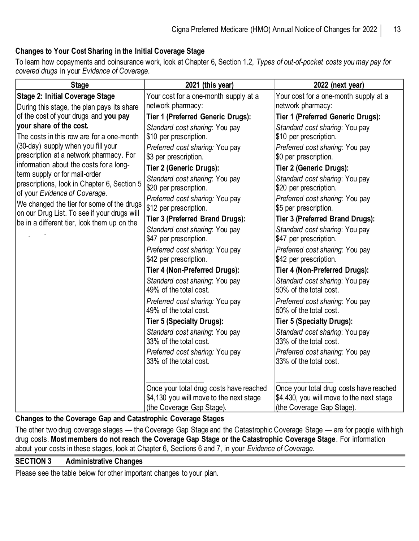#### **Changes to Your Cost Sharing in the Initial Coverage Stage**

To learn how copayments and coinsurance work, look at Chapter 6, Section 1.2, *Types of out-of-pocket costs you may pay for covered drugs* in your *Evidence of Coverage*.

| <b>Stage</b>                                                                                                                                                                                                                                                                                                                                                                                                                                                                                          | 2021 (this year)                                                                                                                                                                                                                                                                                                                                                                                                                                       | 2022 (next year)                                                                                                                                                                                                                                                                                                                                                                                                                                      |
|-------------------------------------------------------------------------------------------------------------------------------------------------------------------------------------------------------------------------------------------------------------------------------------------------------------------------------------------------------------------------------------------------------------------------------------------------------------------------------------------------------|--------------------------------------------------------------------------------------------------------------------------------------------------------------------------------------------------------------------------------------------------------------------------------------------------------------------------------------------------------------------------------------------------------------------------------------------------------|-------------------------------------------------------------------------------------------------------------------------------------------------------------------------------------------------------------------------------------------------------------------------------------------------------------------------------------------------------------------------------------------------------------------------------------------------------|
| <b>Stage 2: Initial Coverage Stage</b>                                                                                                                                                                                                                                                                                                                                                                                                                                                                | Your cost for a one-month supply at a<br>network pharmacy:                                                                                                                                                                                                                                                                                                                                                                                             | Your cost for a one-month supply at a<br>network pharmacy:                                                                                                                                                                                                                                                                                                                                                                                            |
| During this stage, the plan pays its share                                                                                                                                                                                                                                                                                                                                                                                                                                                            |                                                                                                                                                                                                                                                                                                                                                                                                                                                        |                                                                                                                                                                                                                                                                                                                                                                                                                                                       |
| of the cost of your drugs and you pay<br>your share of the cost.<br>The costs in this row are for a one-month<br>(30-day) supply when you fill your<br>prescription at a network pharmacy. For<br>information about the costs for a long-<br>term supply or for mail-order<br>prescriptions, look in Chapter 6, Section 5<br>of your Evidence of Coverage.<br>We changed the tier for some of the drugs<br>on our Drug List. To see if your drugs will<br>be in a different tier, look them up on the | <b>Tier 1 (Preferred Generic Drugs):</b><br>Standard cost sharing: You pay<br>\$10 per prescription.<br>Preferred cost sharing: You pay<br>\$3 per prescription.<br>Tier 2 (Generic Drugs):<br>Standard cost sharing: You pay<br>\$20 per prescription.<br>Preferred cost sharing: You pay<br>\$12 per prescription.<br>Tier 3 (Preferred Brand Drugs):<br>Standard cost sharing: You pay<br>\$47 per prescription.<br>Preferred cost sharing: You pay | <b>Tier 1 (Preferred Generic Drugs):</b><br>Standard cost sharing: You pay<br>\$10 per prescription.<br>Preferred cost sharing: You pay<br>\$0 per prescription.<br>Tier 2 (Generic Drugs):<br>Standard cost sharing: You pay<br>\$20 per prescription.<br>Preferred cost sharing: You pay<br>\$5 per prescription.<br>Tier 3 (Preferred Brand Drugs):<br>Standard cost sharing: You pay<br>\$47 per prescription.<br>Preferred cost sharing: You pay |
|                                                                                                                                                                                                                                                                                                                                                                                                                                                                                                       | \$42 per prescription.                                                                                                                                                                                                                                                                                                                                                                                                                                 | \$42 per prescription.                                                                                                                                                                                                                                                                                                                                                                                                                                |
|                                                                                                                                                                                                                                                                                                                                                                                                                                                                                                       | Tier 4 (Non-Preferred Drugs):                                                                                                                                                                                                                                                                                                                                                                                                                          | Tier 4 (Non-Preferred Drugs):                                                                                                                                                                                                                                                                                                                                                                                                                         |
|                                                                                                                                                                                                                                                                                                                                                                                                                                                                                                       | Standard cost sharing: You pay<br>49% of the total cost.                                                                                                                                                                                                                                                                                                                                                                                               | Standard cost sharing: You pay<br>50% of the total cost.                                                                                                                                                                                                                                                                                                                                                                                              |
|                                                                                                                                                                                                                                                                                                                                                                                                                                                                                                       | Preferred cost sharing: You pay<br>49% of the total cost.                                                                                                                                                                                                                                                                                                                                                                                              | Preferred cost sharing: You pay<br>50% of the total cost.                                                                                                                                                                                                                                                                                                                                                                                             |
|                                                                                                                                                                                                                                                                                                                                                                                                                                                                                                       | <b>Tier 5 (Specialty Drugs):</b>                                                                                                                                                                                                                                                                                                                                                                                                                       | <b>Tier 5 (Specialty Drugs):</b>                                                                                                                                                                                                                                                                                                                                                                                                                      |
|                                                                                                                                                                                                                                                                                                                                                                                                                                                                                                       | Standard cost sharing: You pay<br>33% of the total cost.                                                                                                                                                                                                                                                                                                                                                                                               | Standard cost sharing: You pay<br>33% of the total cost.                                                                                                                                                                                                                                                                                                                                                                                              |
|                                                                                                                                                                                                                                                                                                                                                                                                                                                                                                       | Preferred cost sharing: You pay<br>33% of the total cost.                                                                                                                                                                                                                                                                                                                                                                                              | Preferred cost sharing: You pay<br>33% of the total cost.                                                                                                                                                                                                                                                                                                                                                                                             |
|                                                                                                                                                                                                                                                                                                                                                                                                                                                                                                       | Once your total drug costs have reached<br>\$4,130 you will move to the next stage<br>(the Coverage Gap Stage).                                                                                                                                                                                                                                                                                                                                        | Once your total drug costs have reached<br>\$4,430, you will move to the next stage<br>(the Coverage Gap Stage).                                                                                                                                                                                                                                                                                                                                      |

#### **Changes to the Coverage Gap and Catastrophic Coverage Stages**

The other two drug coverage stages — the Coverage Gap Stage and the Catastrophic Coverage Stage — are for people with high drug costs. **Most members do not reach the Coverage Gap Stage or the Catastrophic Coverage Stage**. For information about your costs in these stages, look at Chapter 6, Sections 6 and 7, in your *Evidence of Coverage.*

#### **SECTION 3 Administrative Changes**

Please see the table below for other important changes to your plan.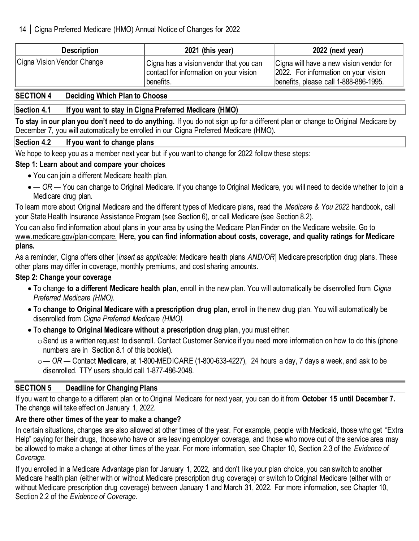| <b>Description</b>         | 2021 (this year)                                                                              | 2022 (next year)                                                                                                         |
|----------------------------|-----------------------------------------------------------------------------------------------|--------------------------------------------------------------------------------------------------------------------------|
| Cigna Vision Vendor Change | Cigna has a vision vendor that you can<br>contact for information on your vision<br>benefits. | Cigna will have a new vision vendor for<br>2022. For information on your vision<br>benefits, please call 1-888-886-1995. |

#### **SECTION 4 Deciding Which Plan to Choose**

#### **Section 4.1 If you want to stay in Cigna Preferred Medicare (HMO)**

**To stay in our plan you don't need to do anything.** If you do not sign up for a different plan or change to Original Medicare by December 7, you will automatically be enrolled in our Cigna Preferred Medicare (HMO).

#### **Section 4.2 If you want to change plans**

We hope to keep you as a member next year but if you want to change for 2022 follow these steps:

#### **Step 1: Learn about and compare your choices**

- You can join a different Medicare health plan,
- *— OR —* You can change to Original Medicare. If you change to Original Medicare, you will need to decide whether to join a Medicare drug plan.

To learn more about Original Medicare and the different types of Medicare plans, read the *Medicare & You 2022* handbook, call your State Health Insurance Assistance Program (see Section 6), or call Medicare (see Section 8.2).

You can also find information about plans in your area by using the Medicare Plan Finder on the Medicare website. Go to www.medicare.gov/plan-compare. **Here, you can find information about costs, coverage, and quality ratings for Medicare plans.**

As a reminder, Cigna offers other [*insert as applicable:* Medicare health plans *AND/OR*] Medicare prescription drug plans. These other plans may differ in coverage, monthly premiums, and cost sharing amounts.

#### **Step 2: Change your coverage**

- To change **to a different Medicare health plan**, enroll in the new plan. You will automatically be disenrolled from *Cigna Preferred Medicare (HMO).*
- To **change to Original Medicare with a prescription drug plan,** enroll in the new drug plan. You will automatically be disenrolled from *Cigna Preferred Medicare (HMO).*
- To **change to Original Medicare without a prescription drug plan**, you must either:
	- $\circ$  Send us a written request to disenroll. Contact Customer Service if you need more information on how to do this (phone numbers are in Section 8.1 of this booklet).
	- o*— OR —* Contact **Medicare**, at 1-800-MEDICARE (1-800-633-4227), 24 hours a day, 7 days a week, and ask to be disenrolled. TTY users should call 1-877-486-2048.

#### **SECTION 5 Deadline for Changing Plans**

If you want to change to a different plan or to Original Medicare for next year, you can do it from **October 15 until December 7.**  The change will take effect on January 1, 2022.

#### **Are there other times of the year to make a change?**

In certain situations, changes are also allowed at other times of the year. For example, people with Medicaid, those who get "Extra Help" paying for their drugs, those who have or are leaving employer coverage, and those who move out of the service area may be allowed to make a change at other times of the year. For more information, see Chapter 10, Section 2.3 of the *Evidence of Coverage.*

If you enrolled in a Medicare Advantage plan for January 1, 2022, and don't like your plan choice, you can switch to another Medicare health plan (either with or without Medicare prescription drug coverage) or switch to Original Medicare (either with or without Medicare prescription drug coverage) between January 1 and March 31, 2022. For more information, see Chapter 10, Section 2.2 of the *Evidence of Coverage*.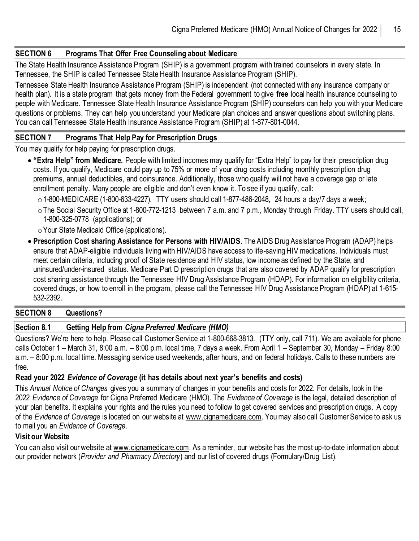#### **SECTION 6 Programs That Offer Free Counseling about Medicare**

The State Health Insurance Assistance Program (SHIP) is a government program with trained counselors in every state. In Tennessee, the SHIP is called Tennessee State Health Insurance Assistance Program (SHIP).

Tennessee State Health Insurance Assistance Program (SHIP) is independent (not connected with any insurance company or health plan). It is a state program that gets money from the Federal government to give **free** local health insurance counseling to people with Medicare. Tennessee State Health Insurance Assistance Program (SHIP) counselors can help you with your Medicare questions or problems. They can help you understand your Medicare plan choices and answer questions about switching plans. You can call Tennessee State Health Insurance Assistance Program (SHIP) at 1-877-801-0044.

#### **SECTION 7 Programs That Help Pay for Prescription Drugs**

You may qualify for help paying for prescription drugs.

- **"Extra Help" from Medicare.** People with limited incomes may qualify for "Extra Help" to pay for their prescription drug costs. If you qualify, Medicare could pay up to 75% or more of your drug costs including monthly prescription drug premiums, annual deductibles, and coinsurance. Additionally, those who qualify will not have a coverage gap or late enrollment penalty. Many people are eligible and don't even know it. To see if you qualify, call:
	- $\circ$  1-800-MEDICARE (1-800-633-4227). TTY users should call 1-877-486-2048, 24 hours a day/7 days a week;
	- oThe Social Security Office at 1-800-772-1213 between 7 a.m. and 7 p.m., Monday through Friday. TTY users should call, 1-800-325-0778 (applications); or
	- oYour State Medicaid Office (applications).
- **Prescription Cost sharing Assistance for Persons with HIV/AIDS**. The AIDS Drug Assistance Program (ADAP) helps ensure that ADAP-eligible individuals living with HIV/AIDS have access to life-saving HIV medications. Individuals must meet certain criteria, including proof of State residence and HIV status, low income as defined by the State, and uninsured/under-insured status. Medicare Part D prescription drugs that are also covered by ADAP qualify for prescription cost sharing assistance through the Tennessee HIV Drug Assistance Program (HDAP). For information on eligibility criteria, covered drugs, or how to enroll in the program, please call the Tennessee HIV Drug Assistance Program (HDAP) at 1-615- 532-2392.

#### **SECTION 8 Questions?**

#### **Section 8.1 Getting Help from** *Cigna Preferred Medicare (HMO)*

Questions? We're here to help. Please call Customer Service at 1-800-668-3813. (TTY only, call 711). We are available for phone calls October 1 – March 31, 8:00 a.m. – 8:00 p.m. local time, 7 days a week. From April 1 – September 30, Monday – Friday 8:00 a.m. – 8:00 p.m. local time. Messaging service used weekends, after hours, and on federal holidays. Calls to these numbers are free.

#### **Read your 2022** *Evidence of Coverage* **(it has details about next year's benefits and costs)**

This *Annual Notice of Changes* gives you a summary of changes in your benefits and costs for 2022. For details, look in the 2022 *Evidence of Coverage* for Cigna Preferred Medicare (HMO)*.* The *Evidence of Coverage* is the legal, detailed description of your plan benefits. It explains your rights and the rules you need to follow to get covered services and prescription drugs. A copy of the *Evidence of Coverage* is located on our website at www.cignamedicare.com. You may also call Customer Service to ask us to mail you an *Evidence of Coverage*.

#### **Visit our Website**

You can also visit our website at www.cignamedicare.com. As a reminder, our website has the most up-to-date information about our provider network (*Provider and Pharmacy Directory*) and our list of covered drugs (Formulary/Drug List).